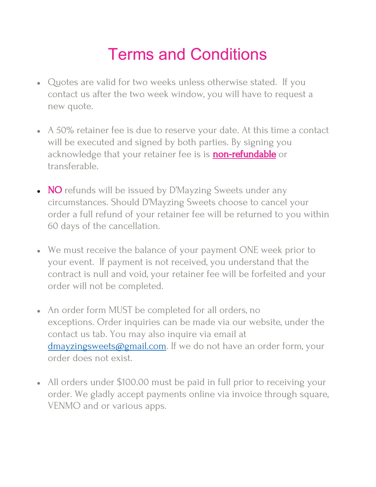## Terms and Conditions

- Quotes are valid for two weeks unless otherwise stated. If you contact us after the two week window, you will have to request a new quote.
- A 50% retainer fee is due to reserve your date. At this time a contact will be executed and signed by both parties. By signing you acknowledge that your retainer fee is is **non-refundable** or transferable.
- NO refunds will be issued by D'Mayzing Sweets under any circumstances. Should D'Mayzing Sweets choose to cancel your order a full refund of your retainer fee will be returned to you within 60 days of the cancellation.
- We must receive the balance of your payment ONE week prior to your event. If payment is not received, you understand that the contract is null and void, your retainer fee will be forfeited and your order will not be completed.
- An order form MUST be completed for all orders, no exceptions. Order inquiries can be made via our website, under the contact us tab. You may also inquire via email at [dmayzingsweets@gmail.com](mailto:dmayzingsweets@gmail.com). If we do not have an order form, your order does not exist.
- All orders under \$100.00 must be paid in full prior to receiving your order. We gladly accept payments online via invoice through square, VENMO and or various apps.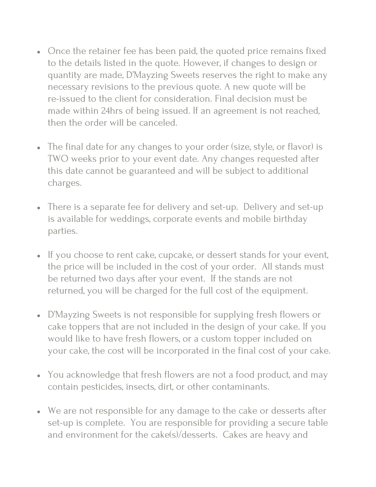- Once the retainer fee has been paid, the quoted price remains fixed to the details listed in the quote. However, if changes to design or quantity are made, D'Mayzing Sweets reserves the right to make any necessary revisions to the previous quote. A new quote will be re-issued to the client for consideration. Final decision must be made within 24hrs of being issued. If an agreement is not reached, then the order will be canceled.
- The final date for any changes to your order (size, style, or flavor) is TWO weeks prior to your event date. Any changes requested after this date cannot be guaranteed and will be subject to additional charges.
- There is a separate fee for delivery and set-up. Delivery and set-up is available for weddings, corporate events and mobile birthday parties.
- If you choose to rent cake, cupcake, or dessert stands for your event, the price will be included in the cost of your order. All stands must be returned two days after your event. If the stands are not returned, you will be charged for the full cost of the equipment.
- D'Mayzing Sweets is not responsible for supplying fresh flowers or cake toppers that are not included in the design of your cake. If you would like to have fresh flowers, or a custom topper included on your cake, the cost will be incorporated in the final cost of your cake.
- You acknowledge that fresh flowers are not a food product, and may contain pesticides, insects, dirt, or other contaminants.
- We are not responsible for any damage to the cake or desserts after set-up is complete. You are responsible for providing a secure table and environment for the cake(s)/desserts. Cakes are heavy and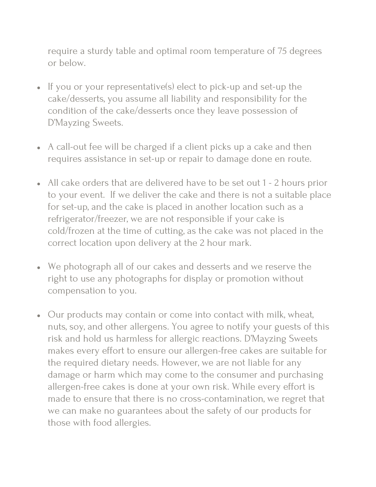require a sturdy table and optimal room temperature of 75 degrees or below.

- If you or your representative(s) elect to pick-up and set-up the cake/desserts, you assume all liability and responsibility for the condition of the cake/desserts once they leave possession of D'Mayzing Sweets.
- A call-out fee will be charged if a client picks up a cake and then requires assistance in set-up or repair to damage done en route.
- All cake orders that are delivered have to be set out 1 2 hours prior to your event. If we deliver the cake and there is not a suitable place for set-up, and the cake is placed in another location such as a refrigerator/freezer, we are not responsible if your cake is cold/frozen at the time of cutting, as the cake was not placed in the correct location upon delivery at the 2 hour mark.
- We photograph all of our cakes and desserts and we reserve the right to use any photographs for display or promotion without compensation to you.
- Our products may contain or come into contact with milk, wheat, nuts, soy, and other allergens. You agree to notify your guests of this risk and hold us harmless for allergic reactions. D'Mayzing Sweets makes every effort to ensure our allergen-free cakes are suitable for the required dietary needs. However, we are not liable for any damage or harm which may come to the consumer and purchasing allergen-free cakes is done at your own risk. While every effort is made to ensure that there is no cross-contamination, we regret that we can make no guarantees about the safety of our products for those with food allergies.